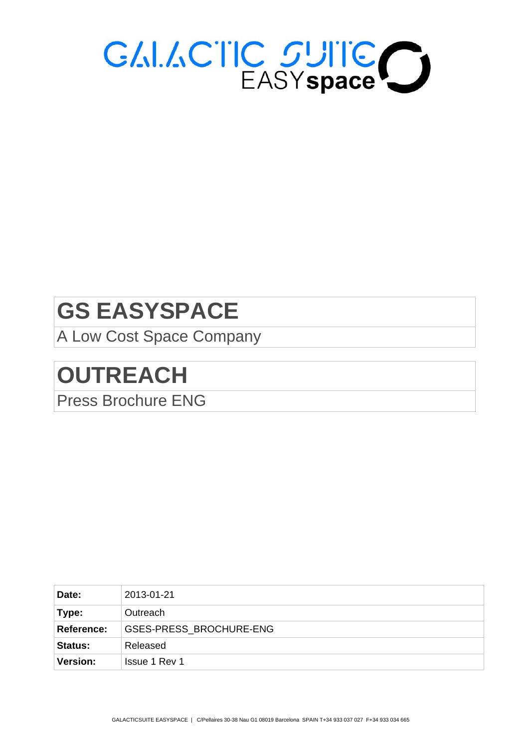

# **GS EASYSPACE**

A Low Cost Space Company

# **OUTREACH**

Press Brochure ENG

| Date:             | 2013-01-21                     |
|-------------------|--------------------------------|
| Type:             | Outreach                       |
| <b>Reference:</b> | <b>GSES-PRESS BROCHURE-ENG</b> |
| <b>Status:</b>    | Released                       |
| <b>Version:</b>   | <b>Issue 1 Rev 1</b>           |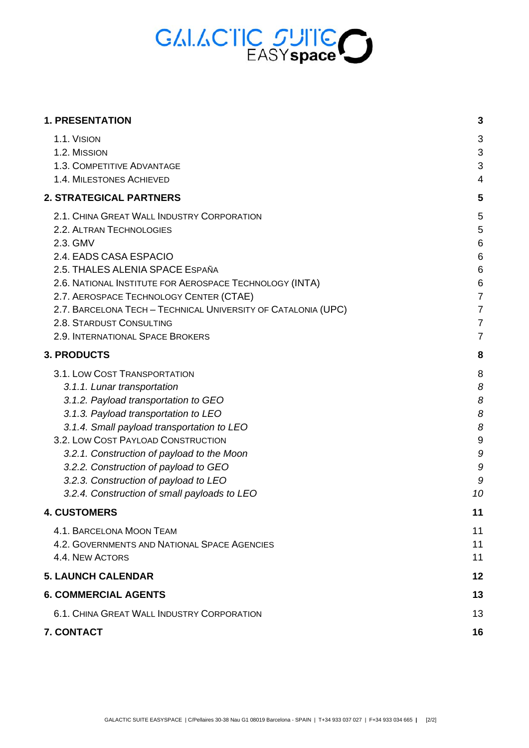| <b>1. PRESENTATION</b>                                                                                                                                                                                                                                                                                                                                                                                          | 3                                                                                                              |
|-----------------------------------------------------------------------------------------------------------------------------------------------------------------------------------------------------------------------------------------------------------------------------------------------------------------------------------------------------------------------------------------------------------------|----------------------------------------------------------------------------------------------------------------|
| 1.1. VISION<br>1.2. MISSION<br>1.3. COMPETITIVE ADVANTAGE<br>1.4. MILESTONES ACHIEVED                                                                                                                                                                                                                                                                                                                           | 3<br>$\mathbf{3}$<br>3<br>4                                                                                    |
| <b>2. STRATEGICAL PARTNERS</b>                                                                                                                                                                                                                                                                                                                                                                                  | 5                                                                                                              |
| 2.1. CHINA GREAT WALL INDUSTRY CORPORATION<br>2.2. ALTRAN TECHNOLOGIES<br>2.3. GMV<br>2.4. EADS CASA ESPACIO<br>2.5. THALES ALENIA SPACE ESPAÑA<br>2.6. NATIONAL INSTITUTE FOR AEROSPACE TECHNOLOGY (INTA)<br>2.7. AEROSPACE TECHNOLOGY CENTER (CTAE)<br>2.7. BARCELONA TECH - TECHNICAL UNIVERSITY OF CATALONIA (UPC)<br>2.8. STARDUST CONSULTING<br>2.9. INTERNATIONAL SPACE BROKERS                          | 5<br>5<br>6<br>$\,6$<br>$\,6$<br>$\,6$<br>$\overline{7}$<br>$\overline{7}$<br>$\overline{7}$<br>$\overline{7}$ |
| <b>3. PRODUCTS</b>                                                                                                                                                                                                                                                                                                                                                                                              | 8                                                                                                              |
| 3.1. LOW COST TRANSPORTATION<br>3.1.1. Lunar transportation<br>3.1.2. Payload transportation to GEO<br>3.1.3. Payload transportation to LEO<br>3.1.4. Small payload transportation to LEO<br>3.2. LOW COST PAYLOAD CONSTRUCTION<br>3.2.1. Construction of payload to the Moon<br>3.2.2. Construction of payload to GEO<br>3.2.3. Construction of payload to LEO<br>3.2.4. Construction of small payloads to LEO | 8<br>8<br>8<br>8<br>8<br>$\boldsymbol{9}$<br>9<br>9<br>9<br>10                                                 |
| <b>4. CUSTOMERS</b>                                                                                                                                                                                                                                                                                                                                                                                             | 11                                                                                                             |
| 4.1. BARCELONA MOON TEAM<br>4.2. GOVERNMENTS AND NATIONAL SPACE AGENCIES<br><b>4.4. NEW ACTORS</b>                                                                                                                                                                                                                                                                                                              | 11<br>11<br>11                                                                                                 |
| <b>5. LAUNCH CALENDAR</b>                                                                                                                                                                                                                                                                                                                                                                                       | 12                                                                                                             |
| <b>6. COMMERCIAL AGENTS</b>                                                                                                                                                                                                                                                                                                                                                                                     | 13                                                                                                             |
| 6.1. CHINA GREAT WALL INDUSTRY CORPORATION                                                                                                                                                                                                                                                                                                                                                                      | 13                                                                                                             |
| 7. CONTACT                                                                                                                                                                                                                                                                                                                                                                                                      | 16                                                                                                             |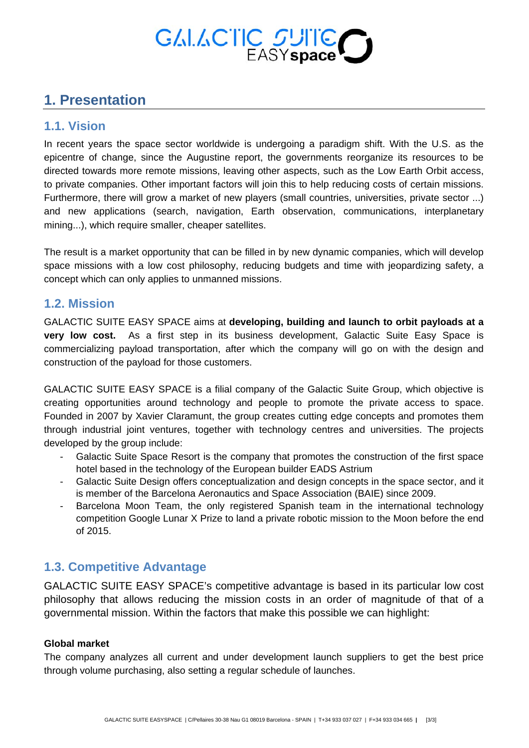# **1. Presentation**

#### **1.1. Vision**

In recent years the space sector worldwide is undergoing a paradigm shift. With the U.S. as the epicentre of change, since the Augustine report, the governments reorganize its resources to be directed towards more remote missions, leaving other aspects, such as the Low Earth Orbit access, to private companies. Other important factors will join this to help reducing costs of certain missions. Furthermore, there will grow a market of new players (small countries, universities, private sector ...) and new applications (search, navigation, Earth observation, communications, interplanetary mining...), which require smaller, cheaper satellites.

The result is a market opportunity that can be filled in by new dynamic companies, which will develop space missions with a low cost philosophy, reducing budgets and time with jeopardizing safety, a concept which can only applies to unmanned missions.

#### **1.2. Mission**

GALACTIC SUITE EASY SPACE aims at **developing, building and launch to orbit payloads at a very low cost.** As a first step in its business development, Galactic Suite Easy Space is commercializing payload transportation, after which the company will go on with the design and construction of the payload for those customers.

GALACTIC SUITE EASY SPACE is a filial company of the Galactic Suite Group, which objective is creating opportunities around technology and people to promote the private access to space. Founded in 2007 by Xavier Claramunt, the group creates cutting edge concepts and promotes them through industrial joint ventures, together with technology centres and universities. The projects developed by the group include:

- Galactic Suite Space Resort is the company that promotes the construction of the first space hotel based in the technology of the European builder EADS Astrium
- Galactic Suite Design offers conceptualization and design concepts in the space sector, and it is member of the Barcelona Aeronautics and Space Association (BAIE) since 2009.
- Barcelona Moon Team, the only registered Spanish team in the international technology competition Google Lunar X Prize to land a private robotic mission to the Moon before the end of 2015.

### **1.3. Competitive Advantage**

GALACTIC SUITE EASY SPACE's competitive advantage is based in its particular low cost philosophy that allows reducing the mission costs in an order of magnitude of that of a governmental mission. Within the factors that make this possible we can highlight:

#### **Global market**

The company analyzes all current and under development launch suppliers to get the best price through volume purchasing, also setting a regular schedule of launches.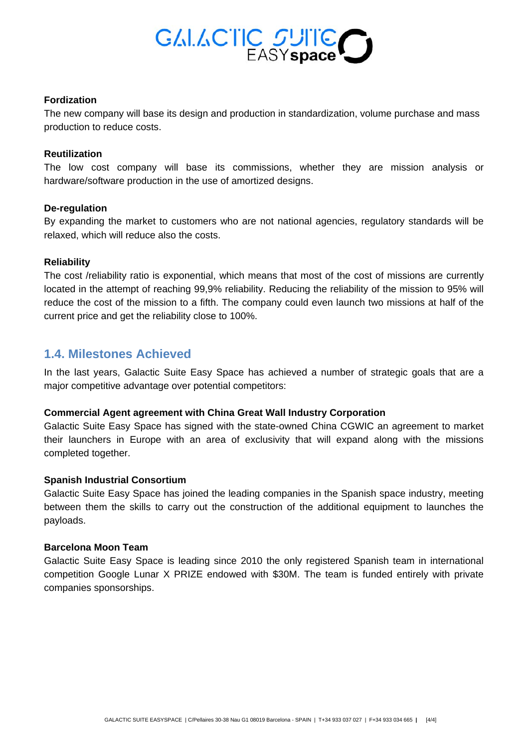

#### **Fordization**

The new company will base its design and production in standardization, volume purchase and mass production to reduce costs.

#### **Reutilization**

The low cost company will base its commissions, whether they are mission analysis or hardware/software production in the use of amortized designs.

#### **De-regulation**

By expanding the market to customers who are not national agencies, regulatory standards will be relaxed, which will reduce also the costs.

#### **Reliability**

The cost /reliability ratio is exponential, which means that most of the cost of missions are currently located in the attempt of reaching 99,9% reliability. Reducing the reliability of the mission to 95% will reduce the cost of the mission to a fifth. The company could even launch two missions at half of the current price and get the reliability close to 100%.

#### **1.4. Milestones Achieved**

In the last years, Galactic Suite Easy Space has achieved a number of strategic goals that are a major competitive advantage over potential competitors:

#### **Commercial Agent agreement with China Great Wall Industry Corporation**

Galactic Suite Easy Space has signed with the state-owned China CGWIC an agreement to market their launchers in Europe with an area of exclusivity that will expand along with the missions completed together.

#### **Spanish Industrial Consortium**

Galactic Suite Easy Space has joined the leading companies in the Spanish space industry, meeting between them the skills to carry out the construction of the additional equipment to launches the payloads.

#### **Barcelona Moon Team**

Galactic Suite Easy Space is leading since 2010 the only registered Spanish team in international competition Google Lunar X PRIZE endowed with \$30M. The team is funded entirely with private companies sponsorships.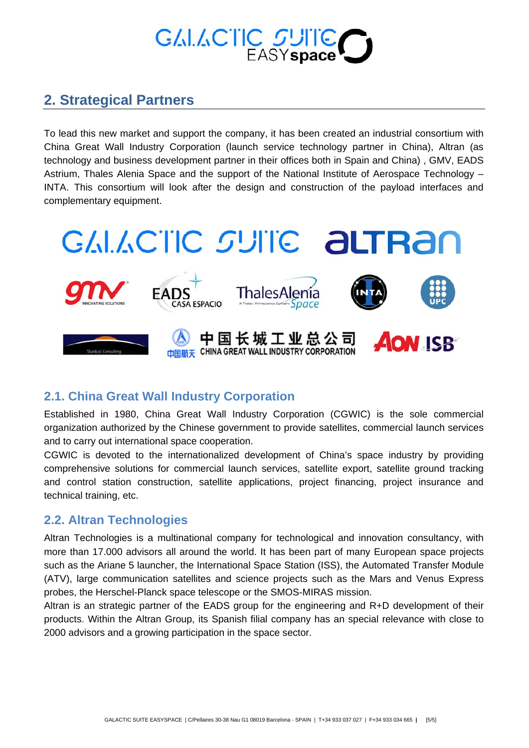## **2. Strategical Partners**

To lead this new market and support the company, it has been created an industrial consortium with China Great Wall Industry Corporation (launch service technology partner in China), Altran (as technology and business development partner in their offices both in Spain and China) , GMV, EADS Astrium, Thales Alenia Space and the support of the National Institute of Aerospace Technology – INTA. This consortium will look after the design and construction of the payload interfaces and complementary equipment.



#### **2.1. China Great Wall Industry Corporation**

Established in 1980, China Great Wall Industry Corporation (CGWIC) is the sole commercial organization authorized by the Chinese government to provide satellites, commercial launch services and to carry out international space cooperation.

CGWIC is devoted to the internationalized development of China's space industry by providing comprehensive solutions for commercial launch services, satellite export, satellite ground tracking and control station construction, satellite applications, project financing, project insurance and technical training, etc.

#### **2.2. Altran Technologies**

Altran Technologies is a multinational company for technological and innovation consultancy, with more than 17.000 advisors all around the world. It has been part of many European space projects such as the Ariane 5 launcher, the International Space Station (ISS), the Automated Transfer Module (ATV), large communication satellites and science projects such as the Mars and Venus Express probes, the Herschel-Planck space telescope or the SMOS-MIRAS mission.

Altran is an strategic partner of the EADS group for the engineering and R+D development of their products. Within the Altran Group, its Spanish filial company has an special relevance with close to 2000 advisors and a growing participation in the space sector.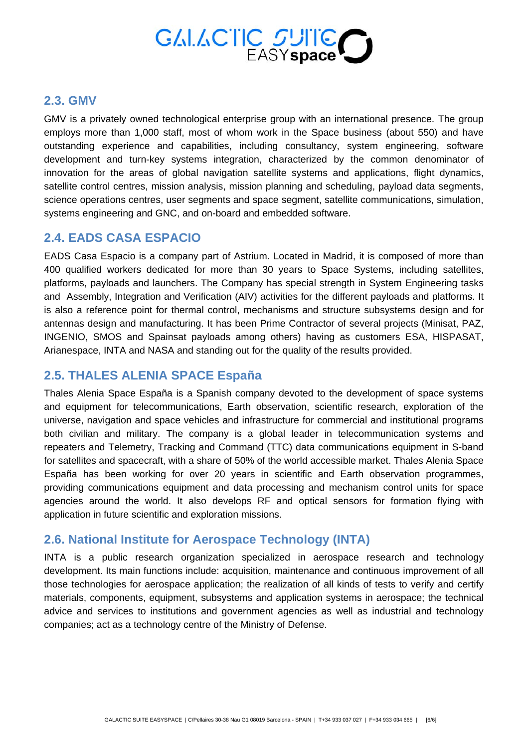

#### **2.3. GMV**

GMV is a privately owned technological enterprise group with an international presence. The group employs more than 1,000 staff, most of whom work in the Space business (about 550) and have outstanding experience and capabilities, including consultancy, system engineering, software development and turn-key systems integration, characterized by the common denominator of innovation for the areas of global navigation satellite systems and applications, flight dynamics, satellite control centres, mission analysis, mission planning and scheduling, payload data segments, science operations centres, user segments and space segment, satellite communications, simulation, systems engineering and GNC, and on-board and embedded software.

#### **2.4. EADS CASA ESPACIO**

EADS Casa Espacio is a company part of Astrium. Located in Madrid, it is composed of more than 400 qualified workers dedicated for more than 30 years to Space Systems, including satellites, platforms, payloads and launchers. The Company has special strength in System Engineering tasks and Assembly, Integration and Verification (AIV) activities for the different payloads and platforms. It is also a reference point for thermal control, mechanisms and structure subsystems design and for antennas design and manufacturing. It has been Prime Contractor of several projects (Minisat, PAZ, INGENIO, SMOS and Spainsat payloads among others) having as customers ESA, HISPASAT, Arianespace, INTA and NASA and standing out for the quality of the results provided.

#### **2.5. THALES ALENIA SPACE España**

Thales Alenia Space España is a Spanish company devoted to the development of space systems and equipment for telecommunications, Earth observation, scientific research, exploration of the universe, navigation and space vehicles and infrastructure for commercial and institutional programs both civilian and military. The company is a global leader in telecommunication systems and repeaters and Telemetry, Tracking and Command (TTC) data communications equipment in S-band for satellites and spacecraft, with a share of 50% of the world accessible market. Thales Alenia Space España has been working for over 20 years in scientific and Earth observation programmes, providing communications equipment and data processing and mechanism control units for space agencies around the world. It also develops RF and optical sensors for formation flying with application in future scientific and exploration missions.

#### **2.6. National Institute for Aerospace Technology (INTA)**

INTA is a public research organization specialized in aerospace research and technology development. Its main functions include: acquisition, maintenance and continuous improvement of all those technologies for aerospace application; the realization of all kinds of tests to verify and certify materials, components, equipment, subsystems and application systems in aerospace; the technical advice and services to institutions and government agencies as well as industrial and technology companies; act as a technology centre of the Ministry of Defense.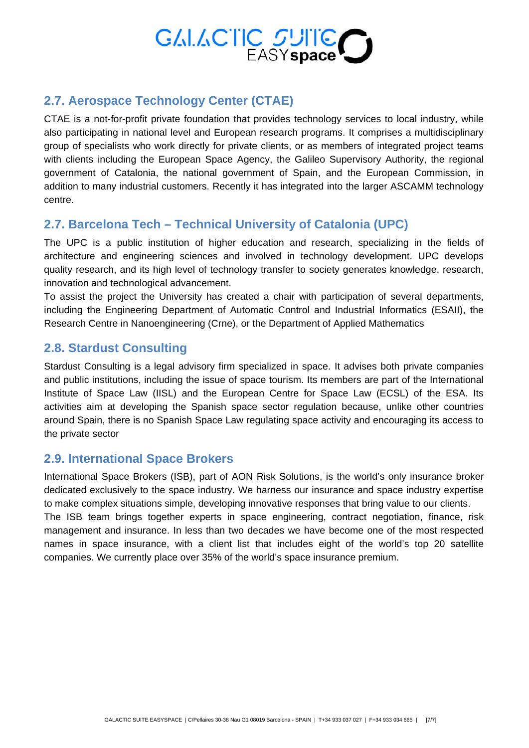

### **2.7. Aerospace Technology Center (CTAE)**

CTAE is a not-for-profit private foundation that provides technology services to local industry, while also participating in national level and European research programs. It comprises a multidisciplinary group of specialists who work directly for private clients, or as members of integrated project teams with clients including the European Space Agency, the Galileo Supervisory Authority, the regional government of Catalonia, the national government of Spain, and the European Commission, in addition to many industrial customers. Recently it has integrated into the larger ASCAMM technology centre.

#### **2.7. Barcelona Tech – Technical University of Catalonia (UPC)**

The UPC is a public institution of higher education and research, specializing in the fields of architecture and engineering sciences and involved in technology development. UPC develops quality research, and its high level of technology transfer to society generates knowledge, research, innovation and technological advancement.

To assist the project the University has created a chair with participation of several departments, including the Engineering Department of Automatic Control and Industrial Informatics (ESAII), the Research Centre in Nanoengineering (Crne), or the Department of Applied Mathematics

#### **2.8. Stardust Consulting**

Stardust Consulting is a legal advisory firm specialized in space. It advises both private companies and public institutions, including the issue of space tourism. Its members are part of the International Institute of Space Law (IISL) and the European Centre for Space Law (ECSL) of the ESA. Its activities aim at developing the Spanish space sector regulation because, unlike other countries around Spain, there is no Spanish Space Law regulating space activity and encouraging its access to the private sector

#### **2.9. International Space Brokers**

International Space Brokers (ISB), part of AON Risk Solutions, is the world's only insurance broker dedicated exclusively to the space industry. We harness our insurance and space industry expertise to make complex situations simple, developing innovative responses that bring value to our clients.

The ISB team brings together experts in space engineering, contract negotiation, finance, risk management and insurance. In less than two decades we have become one of the most respected names in space insurance, with a client list that includes eight of the world's top 20 satellite companies. We currently place over 35% of the world's space insurance premium.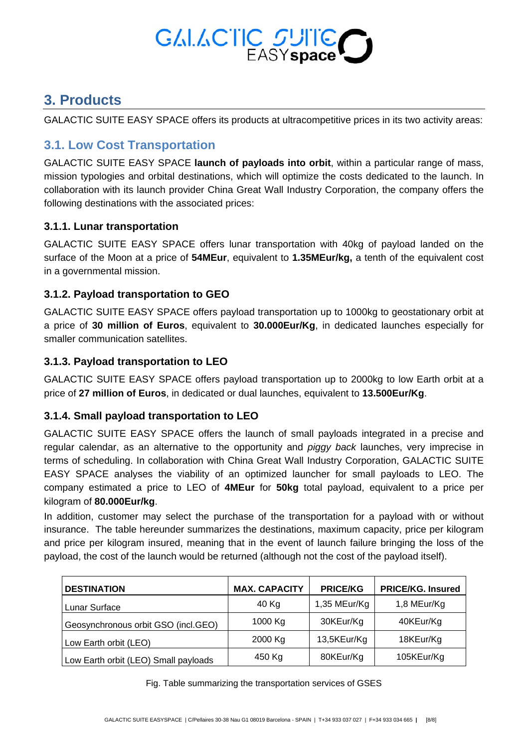### **3. Products**

GALACTIC SUITE EASY SPACE offers its products at ultracompetitive prices in its two activity areas:

### **3.1. Low Cost Transportation**

GALACTIC SUITE EASY SPACE **launch of payloads into orbit**, within a particular range of mass, mission typologies and orbital destinations, which will optimize the costs dedicated to the launch. In collaboration with its launch provider China Great Wall Industry Corporation, the company offers the following destinations with the associated prices:

#### **3.1.1. Lunar transportation**

GALACTIC SUITE EASY SPACE offers lunar transportation with 40kg of payload landed on the surface of the Moon at a price of **54MEur**, equivalent to **1.35MEur/kg,** a tenth of the equivalent cost in a governmental mission.

#### **3.1.2. Payload transportation to GEO**

GALACTIC SUITE EASY SPACE offers payload transportation up to 1000kg to geostationary orbit at a price of **30 million of Euros**, equivalent to **30.000Eur/Kg**, in dedicated launches especially for smaller communication satellites.

#### **3.1.3. Payload transportation to LEO**

GALACTIC SUITE EASY SPACE offers payload transportation up to 2000kg to low Earth orbit at a price of **27 million of Euros**, in dedicated or dual launches, equivalent to **13.500Eur/Kg**.

#### **3.1.4. Small payload transportation to LEO**

GALACTIC SUITE EASY SPACE offers the launch of small payloads integrated in a precise and regular calendar, as an alternative to the opportunity and *piggy back* launches, very imprecise in terms of scheduling. In collaboration with China Great Wall Industry Corporation, GALACTIC SUITE EASY SPACE analyses the viability of an optimized launcher for small payloads to LEO. The company estimated a price to LEO of **4MEur** for **50kg** total payload, equivalent to a price per kilogram of **80.000Eur/kg**.

In addition, customer may select the purchase of the transportation for a payload with or without insurance. The table hereunder summarizes the destinations, maximum capacity, price per kilogram and price per kilogram insured, meaning that in the event of launch failure bringing the loss of the payload, the cost of the launch would be returned (although not the cost of the payload itself).

| <b>DESTINATION</b>                   | <b>MAX. CAPACITY</b> | <b>PRICE/KG</b> | <b>PRICE/KG. Insured</b> |
|--------------------------------------|----------------------|-----------------|--------------------------|
| Lunar Surface                        | 40 Kg                | 1,35 MEur/Kg    | 1,8 MEur/Kg              |
| Geosynchronous orbit GSO (incl.GEO)  | 1000 Kg              | 30KEur/Kg       | 40KEur/Kg                |
| Low Earth orbit (LEO)                | 2000 Kg              | 13,5KEur/Kg     | 18KEur/Kg                |
| Low Earth orbit (LEO) Small payloads | 450 Kg               | 80KEur/Kg       | 105KEur/Kg               |

Fig. Table summarizing the transportation services of GSES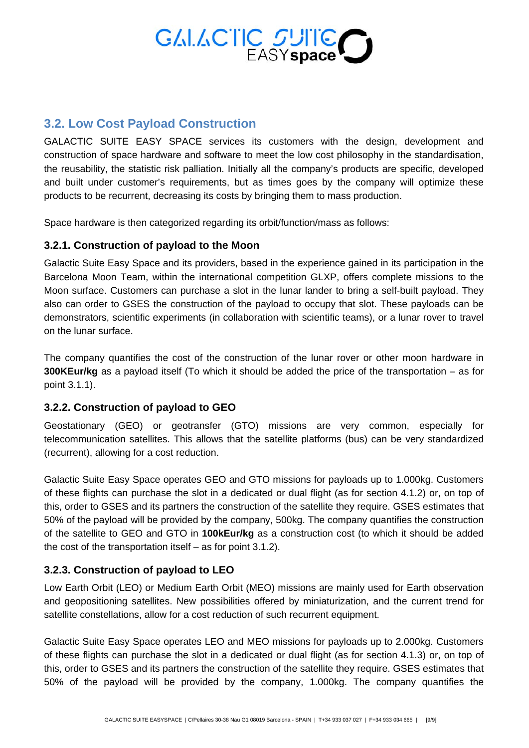

#### **3.2. Low Cost Payload Construction**

GALACTIC SUITE EASY SPACE services its customers with the design, development and construction of space hardware and software to meet the low cost philosophy in the standardisation, the reusability, the statistic risk palliation. Initially all the company's products are specific, developed and built under customer's requirements, but as times goes by the company will optimize these products to be recurrent, decreasing its costs by bringing them to mass production.

Space hardware is then categorized regarding its orbit/function/mass as follows:

#### **3.2.1. Construction of payload to the Moon**

Galactic Suite Easy Space and its providers, based in the experience gained in its participation in the Barcelona Moon Team, within the international competition GLXP, offers complete missions to the Moon surface. Customers can purchase a slot in the lunar lander to bring a self-built payload. They also can order to GSES the construction of the payload to occupy that slot. These payloads can be demonstrators, scientific experiments (in collaboration with scientific teams), or a lunar rover to travel on the lunar surface.

The company quantifies the cost of the construction of the lunar rover or other moon hardware in **300KEur/kg** as a payload itself (To which it should be added the price of the transportation – as for point 3.1.1).

#### **3.2.2. Construction of payload to GEO**

Geostationary (GEO) or geotransfer (GTO) missions are very common, especially for telecommunication satellites. This allows that the satellite platforms (bus) can be very standardized (recurrent), allowing for a cost reduction.

Galactic Suite Easy Space operates GEO and GTO missions for payloads up to 1.000kg. Customers of these flights can purchase the slot in a dedicated or dual flight (as for section 4.1.2) or, on top of this, order to GSES and its partners the construction of the satellite they require. GSES estimates that 50% of the payload will be provided by the company, 500kg. The company quantifies the construction of the satellite to GEO and GTO in **100kEur/kg** as a construction cost (to which it should be added the cost of the transportation itself – as for point 3.1.2).

#### **3.2.3. Construction of payload to LEO**

Low Earth Orbit (LEO) or Medium Earth Orbit (MEO) missions are mainly used for Earth observation and geopositioning satellites. New possibilities offered by miniaturization, and the current trend for satellite constellations, allow for a cost reduction of such recurrent equipment.

Galactic Suite Easy Space operates LEO and MEO missions for payloads up to 2.000kg. Customers of these flights can purchase the slot in a dedicated or dual flight (as for section 4.1.3) or, on top of this, order to GSES and its partners the construction of the satellite they require. GSES estimates that 50% of the payload will be provided by the company, 1.000kg. The company quantifies the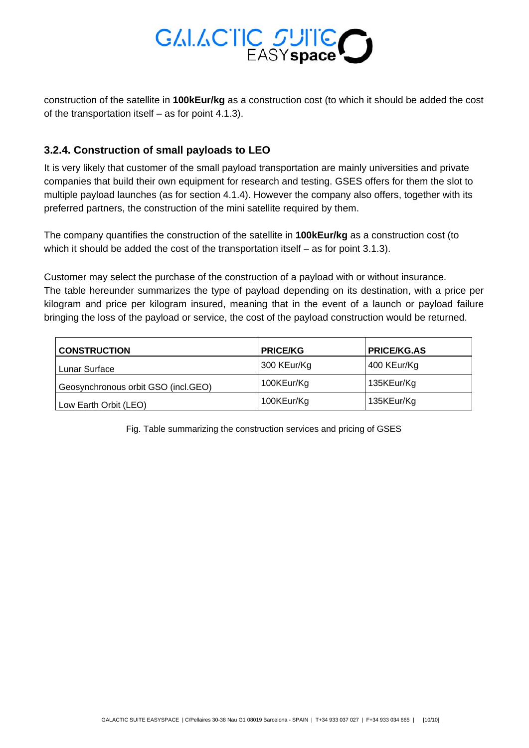

construction of the satellite in **100kEur/kg** as a construction cost (to which it should be added the cost of the transportation itself – as for point 4.1.3).

#### **3.2.4. Construction of small payloads to LEO**

It is very likely that customer of the small payload transportation are mainly universities and private companies that build their own equipment for research and testing. GSES offers for them the slot to multiple payload launches (as for section 4.1.4). However the company also offers, together with its preferred partners, the construction of the mini satellite required by them.

The company quantifies the construction of the satellite in **100kEur/kg** as a construction cost (to which it should be added the cost of the transportation itself – as for point 3.1.3).

Customer may select the purchase of the construction of a payload with or without insurance. The table hereunder summarizes the type of payload depending on its destination, with a price per kilogram and price per kilogram insured, meaning that in the event of a launch or payload failure bringing the loss of the payload or service, the cost of the payload construction would be returned.

| <b>CONSTRUCTION</b>                 | <b>PRICE/KG</b> | <b>PRICE/KG.AS</b> |  |  |
|-------------------------------------|-----------------|--------------------|--|--|
| Lunar Surface                       | 300 KEur/Kg     | 400 KEur/Kg        |  |  |
| Geosynchronous orbit GSO (incl.GEO) | 100KEur/Kg      | 135KEur/Kg         |  |  |
| Low Earth Orbit (LEO)               | 100KEur/Kg      | 135KEur/Kg         |  |  |

Fig. Table summarizing the construction services and pricing of GSES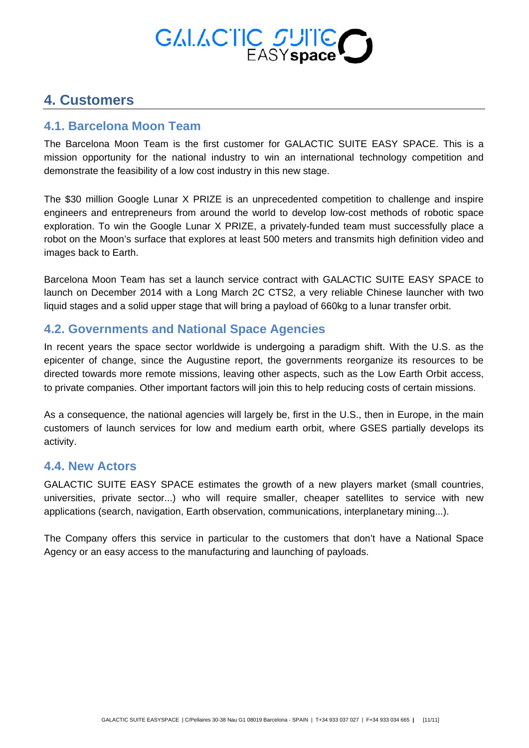### **4. Customers**

#### **4.1. Barcelona Moon Team**

The Barcelona Moon Team is the first customer for GALACTIC SUITE EASY SPACE. This is a mission opportunity for the national industry to win an international technology competition and demonstrate the feasibility of a low cost industry in this new stage.

The \$30 million Google Lunar X PRIZE is an unprecedented competition to challenge and inspire engineers and entrepreneurs from around the world to develop low-cost methods of robotic space exploration. To win the Google Lunar X PRIZE, a privately-funded team must successfully place a robot on the Moon's surface that explores at least 500 meters and transmits high definition video and images back to Earth.

Barcelona Moon Team has set a launch service contract with GALACTIC SUITE EASY SPACE to launch on December 2014 with a Long March 2C CTS2, a very reliable Chinese launcher with two liquid stages and a solid upper stage that will bring a payload of 660kg to a lunar transfer orbit.

#### **4.2. Governments and National Space Agencies**

In recent years the space sector worldwide is undergoing a paradigm shift. With the U.S. as the epicenter of change, since the Augustine report, the governments reorganize its resources to be directed towards more remote missions, leaving other aspects, such as the Low Earth Orbit access, to private companies. Other important factors will join this to help reducing costs of certain missions.

As a consequence, the national agencies will largely be, first in the U.S., then in Europe, in the main customers of launch services for low and medium earth orbit, where GSES partially develops its activity.

#### **4.4. New Actors**

GALACTIC SUITE EASY SPACE estimates the growth of a new players market (small countries, universities, private sector...) who will require smaller, cheaper satellites to service with new applications (search, navigation, Earth observation, communications, interplanetary mining...).

The Company offers this service in particular to the customers that don't have a National Space Agency or an easy access to the manufacturing and launching of payloads.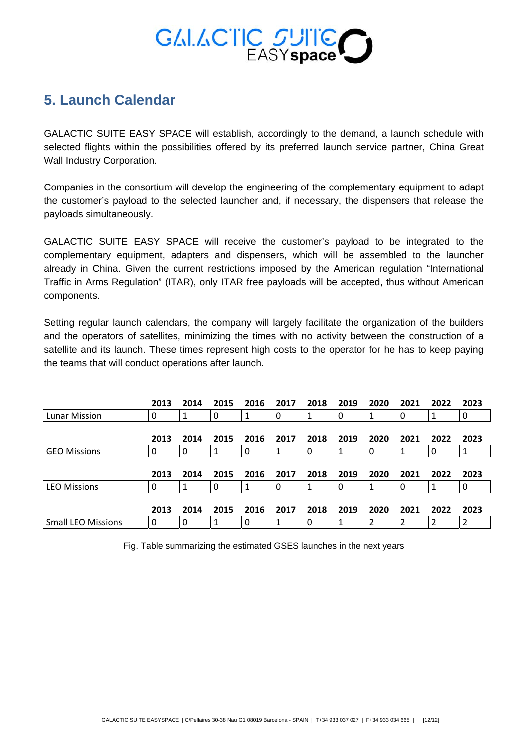# **5. Launch Calendar**

GALACTIC SUITE EASY SPACE will establish, accordingly to the demand, a launch schedule with selected flights within the possibilities offered by its preferred launch service partner, China Great Wall Industry Corporation.

Companies in the consortium will develop the engineering of the complementary equipment to adapt the customer's payload to the selected launcher and, if necessary, the dispensers that release the payloads simultaneously.

GALACTIC SUITE EASY SPACE will receive the customer's payload to be integrated to the complementary equipment, adapters and dispensers, which will be assembled to the launcher already in China. Given the current restrictions imposed by the American regulation "International Traffic in Arms Regulation" (ITAR), only ITAR free payloads will be accepted, thus without American components.

Setting regular launch calendars, the company will largely facilitate the organization of the builders and the operators of satellites, minimizing the times with no activity between the construction of a satellite and its launch. These times represent high costs to the operator for he has to keep paying the teams that will conduct operations after launch.

|                      | 2013 | 2014 | 2015 | 2016 | 2017 | 2018 | 2019 | 2020 | 2021 | 2022 | 2023 |
|----------------------|------|------|------|------|------|------|------|------|------|------|------|
| <b>Lunar Mission</b> | 0    |      | 0    |      | 0    |      |      |      |      |      | 0    |
|                      | 2013 | 2014 | 2015 | 2016 | 2017 | 2018 | 2019 | 2020 | 2021 | 2022 | 2023 |
| <b>GEO Missions</b>  | 0    | 0    |      | 0    |      | 0    |      | 0    |      | 0    |      |
|                      | 2013 | 2014 | 2015 | 2016 | 2017 | 2018 | 2019 | 2020 | 2021 | 2022 | 2023 |
| <b>LEO Missions</b>  | 0    |      | 0    |      | 0    |      |      |      |      |      | 0    |
|                      | 2013 | 2014 | 2015 | 2016 | 2017 | 2018 | 2019 | 2020 | 2021 | 2022 | 2023 |
| Small LEO Missions   | 0    | 0    |      | 0    |      | 0    |      | 2    | 2    |      |      |

Fig. Table summarizing the estimated GSES launches in the next years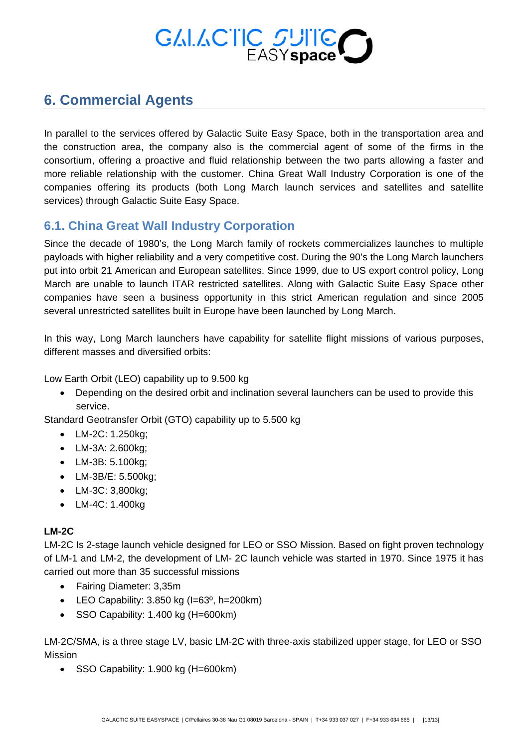# **6. Commercial Agents**

In parallel to the services offered by Galactic Suite Easy Space, both in the transportation area and the construction area, the company also is the commercial agent of some of the firms in the consortium, offering a proactive and fluid relationship between the two parts allowing a faster and more reliable relationship with the customer. China Great Wall Industry Corporation is one of the companies offering its products (both Long March launch services and satellites and satellite services) through Galactic Suite Easy Space.

### **6.1. China Great Wall Industry Corporation**

Since the decade of 1980's, the Long March family of rockets commercializes launches to multiple payloads with higher reliability and a very competitive cost. During the 90's the Long March launchers put into orbit 21 American and European satellites. Since 1999, due to US export control policy, Long March are unable to launch ITAR restricted satellites. Along with Galactic Suite Easy Space other companies have seen a business opportunity in this strict American regulation and since 2005 several unrestricted satellites built in Europe have been launched by Long March.

In this way, Long March launchers have capability for satellite flight missions of various purposes, different masses and diversified orbits:

Low Earth Orbit (LEO) capability up to 9.500 kg

• Depending on the desired orbit and inclination several launchers can be used to provide this service.

Standard Geotransfer Orbit (GTO) capability up to 5.500 kg

- LM-2C: 1.250kg;
- LM-3A: 2.600kg;
- LM-3B: 5.100kg;
- LM-3B/E: 5.500kg;
- LM-3C: 3,800kg;
- LM-4C: 1.400kg

#### **LM-2C**

LM-2C Is 2-stage launch vehicle designed for LEO or SSO Mission. Based on fight proven technology of LM-1 and LM-2, the development of LM- 2C launch vehicle was started in 1970. Since 1975 it has carried out more than 35 successful missions

- Fairing Diameter: 3,35m
- LEO Capability:  $3.850$  kg ( $I=63^\circ$ , h=200km)
- SSO Capability: 1.400 kg (H=600km)

LM-2C/SMA, is a three stage LV, basic LM-2C with three-axis stabilized upper stage, for LEO or SSO Mission

• SSO Capability: 1.900 kg (H=600km)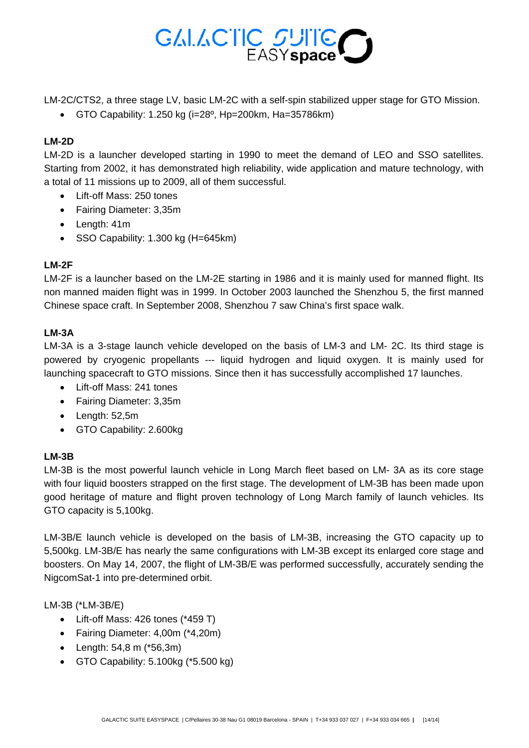

LM-2C/CTS2, a three stage LV, basic LM-2C with a self-spin stabilized upper stage for GTO Mission.

• GTO Capability: 1.250 kg ( $i=28^\circ$ , Hp=200km, Ha=35786km)

#### **LM-2D**

LM-2D is a launcher developed starting in 1990 to meet the demand of LEO and SSO satellites. Starting from 2002, it has demonstrated high reliability, wide application and mature technology, with a total of 11 missions up to 2009, all of them successful.

- Lift-off Mass: 250 tones
- Fairing Diameter: 3,35m
- Length: 41m
- SSO Capability: 1.300 kg (H=645km)

#### **LM-2F**

LM-2F is a launcher based on the LM-2E starting in 1986 and it is mainly used for manned flight. Its non manned maiden flight was in 1999. In October 2003 launched the Shenzhou 5, the first manned Chinese space craft. In September 2008, Shenzhou 7 saw China's first space walk.

#### **LM-3A**

LM-3A is a 3-stage launch vehicle developed on the basis of LM-3 and LM- 2C. Its third stage is powered by cryogenic propellants --- liquid hydrogen and liquid oxygen. It is mainly used for launching spacecraft to GTO missions. Since then it has successfully accomplished 17 launches.

- Lift-off Mass: 241 tones
- Fairing Diameter: 3,35m
- Length: 52,5m
- GTO Capability: 2.600kg

#### **LM-3B**

LM-3B is the most powerful launch vehicle in Long March fleet based on LM- 3A as its core stage with four liquid boosters strapped on the first stage. The development of LM-3B has been made upon good heritage of mature and flight proven technology of Long March family of launch vehicles. Its GTO capacity is 5,100kg.

LM-3B/E launch vehicle is developed on the basis of LM-3B, increasing the GTO capacity up to 5,500kg. LM-3B/E has nearly the same configurations with LM-3B except its enlarged core stage and boosters. On May 14, 2007, the flight of LM-3B/E was performed successfully, accurately sending the NigcomSat-1 into pre-determined orbit.

LM-3B (\*LM-3B/E)

- Lift-off Mass: 426 tones (\*459 T)
- Fairing Diameter: 4,00m (\*4,20m)
- Length: 54,8 m (\*56,3m)
- GTO Capability: 5.100kg (\*5.500 kg)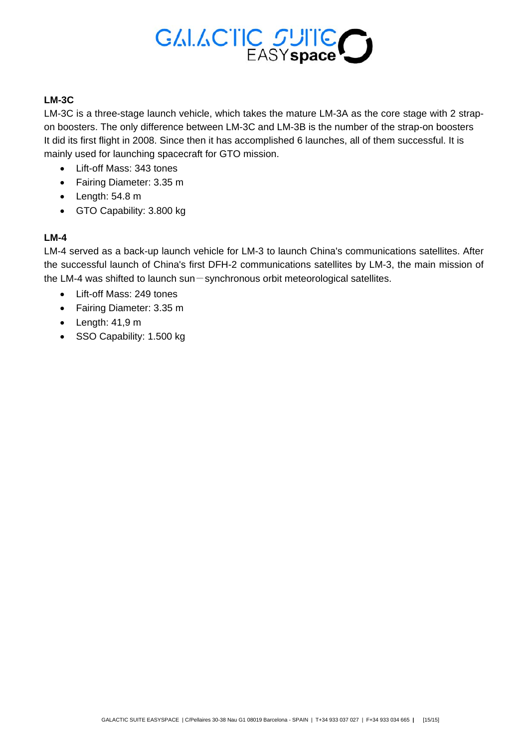

#### **LM-3C**

LM-3C is a three-stage launch vehicle, which takes the mature LM-3A as the core stage with 2 strapon boosters. The only difference between LM-3C and LM-3B is the number of the strap-on boosters It did its first flight in 2008. Since then it has accomplished 6 launches, all of them successful. It is mainly used for launching spacecraft for GTO mission.

- Lift-off Mass: 343 tones
- Fairing Diameter: 3.35 m
- Length: 54.8 m
- GTO Capability: 3.800 kg

#### **LM-4**

LM-4 served as a back-up launch vehicle for LM-3 to launch China's communications satellites. After the successful launch of China's first DFH-2 communications satellites by LM-3, the main mission of the LM-4 was shifted to launch sun-synchronous orbit meteorological satellites.

- Lift-off Mass: 249 tones
- Fairing Diameter: 3.35 m
- Length: 41,9 m
- SSO Capability: 1.500 kg